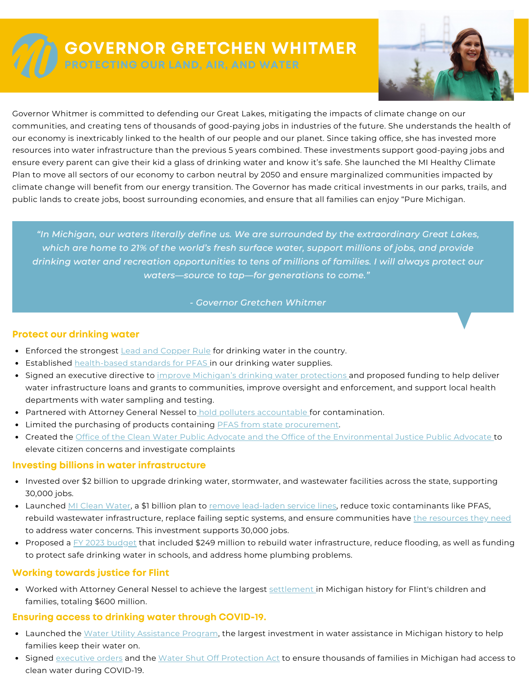

# **GOVERNOR GRETCHEN WHITMER**

**PROTECTING OUR LAND, AIR, AND WATER**



Governor Whitmer is committed to defending our Great Lakes, mitigating the impacts of climate change on our communities, and creating tens of thousands of good-paying jobs in industries of the future. She understands the health of our economy is inextricably linked to the health of our people and our planet. Since taking office, she has invested more resources into water infrastructure than the previous 5 years combined. These investments support good-paying jobs and ensure every parent can give their kid a glass of drinking water and know it's safe. She launched the MI Healthy Climate Plan to move all sectors of our economy to carbon neutral by 2050 and ensure marginalized communities impacted by climate change will benefit from our energy transition. The Governor has made critical investments in our parks, trails, and public lands to create jobs, boost surrounding economies, and ensure that all families can enjoy "Pure Michigan.

*"In Michigan, our waters literally define us. We are surrounded by the extraordinary Great Lakes, which are home to 21% of the world's fresh surface water, support millions of jobs, and provide drinking water and recreation opportunities to tens of millions of families. I will always protect our waters—source to tap—for generations to come."*

#### *- Governor Gretchen Whitmer*

#### **Protect our drinking water**

- Enforced the [strongest](https://www.michigan.gov/-/media/Project/Websites/budget/Fiscal/Executive-Budget/Old-Exec-Recs/FY21-Executive-Budget.pdf?rev=16931a15d62345b381de5d079f22076e) Lead and [Copper](https://www.michigan.gov/-/media/Project/Websites/budget/Fiscal/Executive-Budget/Old-Exec-Recs/FY21-Executive-Budget.pdf?rev=16931a15d62345b381de5d079f22076e) Rule for [drinking](https://www.michigan.gov/-/media/Project/Websites/budget/Fiscal/Executive-Budget/Old-Exec-Recs/FY21-Executive-Budget.pdf?rev=16931a15d62345b381de5d079f22076e) water in the country.
- **[Established](https://www.michigan.gov/-/media/Project/Websites/budget/Fiscal/Executive-Budget/Old-Exec-Recs/FY21-Executive-Budget.pdf?rev=16931a15d62345b381de5d079f22076e) [health-based](https://www.michigan.gov/-/media/Project/Websites/budget/Fiscal/Executive-Budget/Old-Exec-Recs/FY21-Executive-Budget.pdf?rev=16931a15d62345b381de5d079f22076e) standards for PFAS in our drinking water [supplies.](https://www.michigan.gov/-/media/Project/Websites/budget/Fiscal/Executive-Budget/Old-Exec-Recs/FY21-Executive-Budget.pdf?rev=16931a15d62345b381de5d079f22076e)**
- Signed an [executive](https://www.michigan.gov/-/media/Project/Websites/budget/Fiscal/Executive-Budget/Old-Exec-Recs/FY21-Executive-Budget.pdf?rev=16931a15d62345b381de5d079f22076e) directive to improve Michigan's drinking water [protections](https://www.michigan.gov/-/media/Project/Websites/budget/Fiscal/Executive-Budget/Old-Exec-Recs/FY21-Executive-Budget.pdf?rev=16931a15d62345b381de5d079f22076e) and proposed funding to help deliver water [infrastructure](https://www.michigan.gov/-/media/Project/Websites/budget/Fiscal/Executive-Budget/Old-Exec-Recs/FY21-Executive-Budget.pdf?rev=16931a15d62345b381de5d079f22076e) loans and grants to communities, improve oversight and enforcement, and support local health departments with water sampling and testing[.](https://www.michigan.gov/-/media/Project/Websites/budget/Fiscal/Executive-Budget/Old-Exec-Recs/FY21-Executive-Budget.pdf?rev=16931a15d62345b381de5d079f22076e)
- [Partnered](https://www.michigan.gov/-/media/Project/Websites/budget/Fiscal/Executive-Budget/Old-Exec-Recs/FY21-Executive-Budget.pdf?rev=16931a15d62345b381de5d079f22076e) with Attorney General Nessel to hold polluters [accountable](https://www.michigan.gov/-/media/Project/Websites/budget/Fiscal/Executive-Budget/Old-Exec-Recs/FY21-Executive-Budget.pdf?rev=16931a15d62345b381de5d079f22076e) for [contamination.](https://www.michigan.gov/-/media/Project/Websites/budget/Fiscal/Executive-Budget/Old-Exec-Recs/FY21-Executive-Budget.pdf?rev=16931a15d62345b381de5d079f22076e)
- **Imited the [purchasing](https://www.michigan.gov/-/media/Project/Websites/budget/Fiscal/Executive-Budget/Old-Exec-Recs/FY21-Executive-Budget.pdf?rev=16931a15d62345b381de5d079f22076e) of products containing PFAS from state [procurement.](https://www.michigan.gov/-/media/Project/Websites/budget/Fiscal/Executive-Budget/Old-Exec-Recs/FY21-Executive-Budget.pdf?rev=16931a15d62345b381de5d079f22076e)**
- [Created](https://www.michigan.gov/-/media/Project/Websites/budget/Fiscal/Executive-Budget/Old-Exec-Recs/FY21-Executive-Budget.pdf?rev=16931a15d62345b381de5d079f22076e) the Office of the Clean Water Public Advocate and the Office of the [Environmental](https://www.michigan.gov/-/media/Project/Websites/budget/Fiscal/Executive-Budget/Old-Exec-Recs/FY21-Executive-Budget.pdf?rev=16931a15d62345b381de5d079f22076e) Justice Public Advocate to elevate citizen concerns and investigate complaints

## **Investing billions in water infrastructure**

- Invested over \$2 billion to upgrade drinking water, [stormwater,](https://www.michigan.gov/-/media/Project/Websites/budget/Fiscal/Executive-Budget/Old-Exec-Recs/FY21-Executive-Budget.pdf?rev=16931a15d62345b381de5d079f22076e) and wastewater facilities across the state, supporting 30,000 jobs[.](https://www.michigan.gov/-/media/Project/Websites/budget/Fiscal/Executive-Budget/Old-Exec-Recs/FY21-Executive-Budget.pdf?rev=16931a15d62345b381de5d079f22076e)
- [Launched](https://www.michigan.gov/-/media/Project/Websites/budget/Fiscal/Executive-Budget/Old-Exec-Recs/FY21-Executive-Budget.pdf?rev=16931a15d62345b381de5d079f22076e) MI Clean [Water](https://www.michigan.gov/-/media/Project/Websites/budget/Fiscal/Executive-Budget/Old-Exec-Recs/FY21-Executive-Budget.pdf?rev=16931a15d62345b381de5d079f22076e), a \$1 [billion](https://www.michigan.gov/-/media/Project/Websites/budget/Fiscal/Executive-Budget/Old-Exec-Recs/FY21-Executive-Budget.pdf?rev=16931a15d62345b381de5d079f22076e) plan to remove [lead-laden](https://www.michigan.gov/-/media/Project/Websites/budget/Fiscal/Executive-Budget/Old-Exec-Recs/FY21-Executive-Budget.pdf?rev=16931a15d62345b381de5d079f22076e) service lines, reduce toxic contaminants like PFAS, rebuild wastewater [infrastructure,](https://www.michigan.gov/-/media/Project/Websites/budget/Fiscal/Executive-Budget/Old-Exec-Recs/FY21-Executive-Budget.pdf?rev=16931a15d62345b381de5d079f22076e) replace failing septic systems, and ensure communities have the [resources](https://www.michigan.gov/-/media/Project/Websites/budget/Fiscal/Executive-Budget/Old-Exec-Recs/FY21-Executive-Budget.pdf?rev=16931a15d62345b381de5d079f22076e) they need to address water concerns. This [investment](https://www.michigan.gov/-/media/Project/Websites/budget/Fiscal/Executive-Budget/Old-Exec-Recs/FY21-Executive-Budget.pdf?rev=16931a15d62345b381de5d079f22076e) supports 30,000 jobs[.](https://www.michigan.gov/-/media/Project/Websites/budget/Fiscal/Executive-Budget/Old-Exec-Recs/FY21-Executive-Budget.pdf?rev=16931a15d62345b381de5d079f22076e)
- [Proposed](https://www.michigan.gov/-/media/Project/Websites/budget/Fiscal/Executive-Budget/Old-Exec-Recs/FY21-Executive-Budget.pdf?rev=16931a15d62345b381de5d079f22076e) a FY 2023 [budget](https://www.michigan.gov/-/media/Project/Websites/budget/Fiscal/Executive-Budget/Old-Exec-Recs/FY21-Executive-Budget.pdf?rev=16931a15d62345b381de5d079f22076e) that included \$249 million to rebuild water [infrastructure,](https://www.michigan.gov/-/media/Project/Websites/budget/Fiscal/Executive-Budget/Old-Exec-Recs/FY21-Executive-Budget.pdf?rev=16931a15d62345b381de5d079f22076e) reduce flooding, as well as funding to protect safe drinking water in schools, and address home plumbing problems.

## **Working towards justice for Flint**

Worked with [Attorney](https://www.michigan.gov/-/media/Project/Websites/budget/Fiscal/Executive-Budget/Old-Exec-Recs/FY21-Executive-Budget.pdf?rev=16931a15d62345b381de5d079f22076e) General Nessel to achieve the largest [settlement](https://www.michigan.gov/-/media/Project/Websites/budget/Fiscal/Executive-Budget/Old-Exec-Recs/FY21-Executive-Budget.pdf?rev=16931a15d62345b381de5d079f22076e) in Michigan history for Flint's children and families, totaling \$600 million[.](https://www.michigan.gov/-/media/Project/Websites/budget/Fiscal/Executive-Budget/Old-Exec-Recs/FY21-Executive-Budget.pdf?rev=16931a15d62345b381de5d079f22076e)

## **Ensuring access to drinking water through COVID-19.**

- [Launched](https://www.michigan.gov/-/media/Project/Websites/budget/Fiscal/Executive-Budget/Old-Exec-Recs/FY21-Executive-Budget.pdf?rev=16931a15d62345b381de5d079f22076e) the Water Utility [Assistance](https://www.michigan.gov/-/media/Project/Websites/budget/Fiscal/Executive-Budget/Old-Exec-Recs/FY21-Executive-Budget.pdf?rev=16931a15d62345b381de5d079f22076e) Program, the largest [investment](https://www.michigan.gov/-/media/Project/Websites/budget/Fiscal/Executive-Budget/Old-Exec-Recs/FY21-Executive-Budget.pdf?rev=16931a15d62345b381de5d079f22076e) in water assistance in Michigan history to help families keep their water on[.](https://www.michigan.gov/-/media/Project/Websites/budget/Fiscal/Executive-Budget/Old-Exec-Recs/FY21-Executive-Budget.pdf?rev=16931a15d62345b381de5d079f22076e)
- **[Signed](https://www.michigan.gov/-/media/Project/Websites/budget/Fiscal/Executive-Budget/Old-Exec-Recs/FY21-Executive-Budget.pdf?rev=16931a15d62345b381de5d079f22076e)** [executive](https://www.michigan.gov/-/media/Project/Websites/budget/Fiscal/Executive-Budget/Old-Exec-Recs/FY21-Executive-Budget.pdf?rev=16931a15d62345b381de5d079f22076e) orders [and](https://www.michigan.gov/-/media/Project/Websites/budget/Fiscal/Executive-Budget/Old-Exec-Recs/FY21-Executive-Budget.pdf?rev=16931a15d62345b381de5d079f22076e) the Water Shut Off [Protection](https://www.michigan.gov/-/media/Project/Websites/budget/Fiscal/Executive-Budget/Old-Exec-Recs/FY21-Executive-Budget.pdf?rev=16931a15d62345b381de5d079f22076e) Act to ensure thousands of families in Michigan had access to clean water during COVID-19.